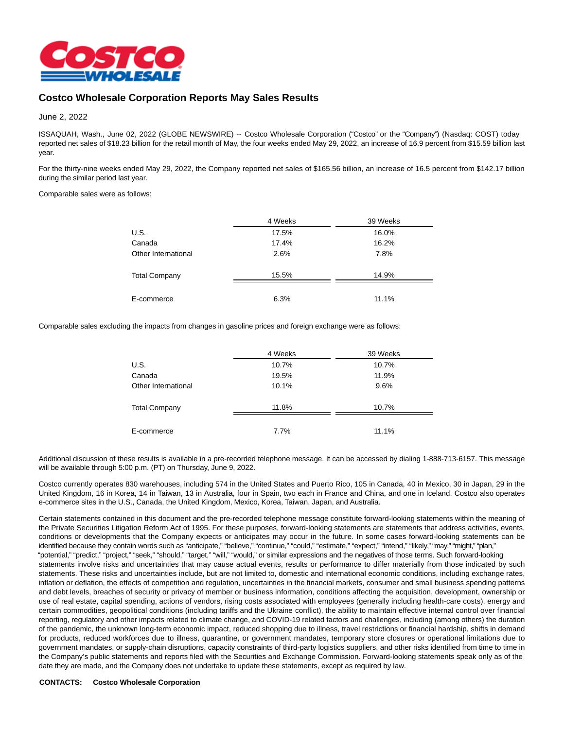

## **Costco Wholesale Corporation Reports May Sales Results**

June 2, 2022

ISSAQUAH, Wash., June 02, 2022 (GLOBE NEWSWIRE) -- Costco Wholesale Corporation ("Costco" or the "Company") (Nasdaq: COST) today reported net sales of \$18.23 billion for the retail month of May, the four weeks ended May 29, 2022, an increase of 16.9 percent from \$15.59 billion last year.

For the thirty-nine weeks ended May 29, 2022, the Company reported net sales of \$165.56 billion, an increase of 16.5 percent from \$142.17 billion during the similar period last year.

Comparable sales were as follows:

|                      | 4 Weeks | 39 Weeks |
|----------------------|---------|----------|
| U.S.                 | 17.5%   | 16.0%    |
| Canada               | 17.4%   | 16.2%    |
| Other International  | 2.6%    | 7.8%     |
| <b>Total Company</b> | 15.5%   | 14.9%    |
| E-commerce           | 6.3%    | 11.1%    |

Comparable sales excluding the impacts from changes in gasoline prices and foreign exchange were as follows:

|                      | 4 Weeks | 39 Weeks |
|----------------------|---------|----------|
| U.S.                 | 10.7%   | 10.7%    |
| Canada               | 19.5%   | 11.9%    |
| Other International  | 10.1%   | 9.6%     |
| <b>Total Company</b> | 11.8%   | 10.7%    |
| E-commerce           | 7.7%    | 11.1%    |

Additional discussion of these results is available in a pre-recorded telephone message. It can be accessed by dialing 1-888-713-6157. This message will be available through 5:00 p.m. (PT) on Thursday, June 9, 2022.

Costco currently operates 830 warehouses, including 574 in the United States and Puerto Rico, 105 in Canada, 40 in Mexico, 30 in Japan, 29 in the United Kingdom, 16 in Korea, 14 in Taiwan, 13 in Australia, four in Spain, two each in France and China, and one in Iceland. Costco also operates e-commerce sites in the U.S., Canada, the United Kingdom, Mexico, Korea, Taiwan, Japan, and Australia.

Certain statements contained in this document and the pre-recorded telephone message constitute forward-looking statements within the meaning of the Private Securities Litigation Reform Act of 1995. For these purposes, forward-looking statements are statements that address activities, events, conditions or developments that the Company expects or anticipates may occur in the future. In some cases forward-looking statements can be identified because they contain words such as "anticipate," "believe," "continue," "could," "estimate," "expect," "intend," "likely," "may," "might," "plan," "potential," "predict," "project," "seek," "should," "target," "will," "would," or similar expressions and the negatives of those terms. Such forward-looking statements involve risks and uncertainties that may cause actual events, results or performance to differ materially from those indicated by such statements. These risks and uncertainties include, but are not limited to, domestic and international economic conditions, including exchange rates, inflation or deflation, the effects of competition and regulation, uncertainties in the financial markets, consumer and small business spending patterns and debt levels, breaches of security or privacy of member or business information, conditions affecting the acquisition, development, ownership or use of real estate, capital spending, actions of vendors, rising costs associated with employees (generally including health-care costs), energy and certain commodities, geopolitical conditions (including tariffs and the Ukraine conflict), the ability to maintain effective internal control over financial reporting, regulatory and other impacts related to climate change, and COVID-19 related factors and challenges, including (among others) the duration of the pandemic, the unknown long-term economic impact, reduced shopping due to illness, travel restrictions or financial hardship, shifts in demand for products, reduced workforces due to illness, quarantine, or government mandates, temporary store closures or operational limitations due to government mandates, or supply-chain disruptions, capacity constraints of third-party logistics suppliers, and other risks identified from time to time in the Company's public statements and reports filed with the Securities and Exchange Commission. Forward-looking statements speak only as of the date they are made, and the Company does not undertake to update these statements, except as required by law.

**CONTACTS: Costco Wholesale Corporation**